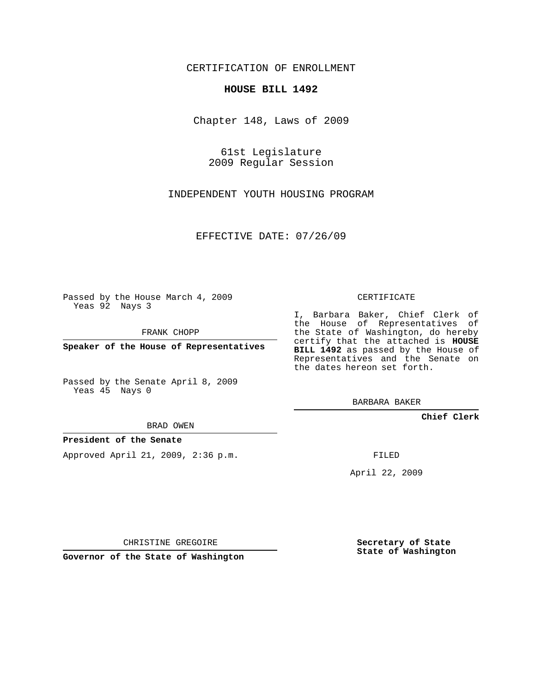CERTIFICATION OF ENROLLMENT

## **HOUSE BILL 1492**

Chapter 148, Laws of 2009

61st Legislature 2009 Regular Session

INDEPENDENT YOUTH HOUSING PROGRAM

EFFECTIVE DATE: 07/26/09

Passed by the House March 4, 2009 Yeas 92 Nays 3

FRANK CHOPP

**Speaker of the House of Representatives**

Passed by the Senate April 8, 2009 Yeas 45 Nays 0

BRAD OWEN

## **President of the Senate**

Approved April 21, 2009, 2:36 p.m.

CERTIFICATE

I, Barbara Baker, Chief Clerk of the House of Representatives of the State of Washington, do hereby certify that the attached is **HOUSE BILL 1492** as passed by the House of Representatives and the Senate on the dates hereon set forth.

BARBARA BAKER

**Chief Clerk**

FILED

April 22, 2009

CHRISTINE GREGOIRE

**Governor of the State of Washington**

**Secretary of State State of Washington**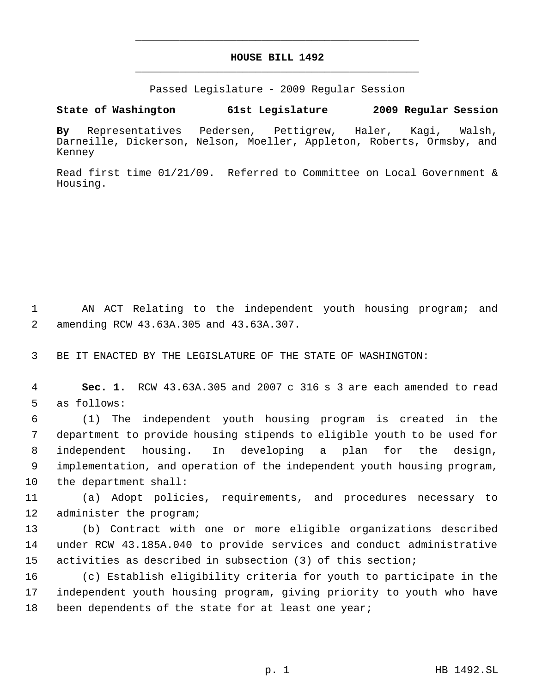## **HOUSE BILL 1492** \_\_\_\_\_\_\_\_\_\_\_\_\_\_\_\_\_\_\_\_\_\_\_\_\_\_\_\_\_\_\_\_\_\_\_\_\_\_\_\_\_\_\_\_\_

\_\_\_\_\_\_\_\_\_\_\_\_\_\_\_\_\_\_\_\_\_\_\_\_\_\_\_\_\_\_\_\_\_\_\_\_\_\_\_\_\_\_\_\_\_

Passed Legislature - 2009 Regular Session

**State of Washington 61st Legislature 2009 Regular Session**

**By** Representatives Pedersen, Pettigrew, Haler, Kagi, Walsh, Darneille, Dickerson, Nelson, Moeller, Appleton, Roberts, Ormsby, and Kenney

Read first time 01/21/09. Referred to Committee on Local Government & Housing.

 1 AN ACT Relating to the independent youth housing program; and 2 amending RCW 43.63A.305 and 43.63A.307.

3 BE IT ENACTED BY THE LEGISLATURE OF THE STATE OF WASHINGTON:

 4 **Sec. 1.** RCW 43.63A.305 and 2007 c 316 s 3 are each amended to read 5 as follows:

 (1) The independent youth housing program is created in the department to provide housing stipends to eligible youth to be used for independent housing. In developing a plan for the design, implementation, and operation of the independent youth housing program, the department shall:

11 (a) Adopt policies, requirements, and procedures necessary to 12 administer the program;

13 (b) Contract with one or more eligible organizations described 14 under RCW 43.185A.040 to provide services and conduct administrative 15 activities as described in subsection (3) of this section;

16 (c) Establish eligibility criteria for youth to participate in the 17 independent youth housing program, giving priority to youth who have 18 been dependents of the state for at least one year;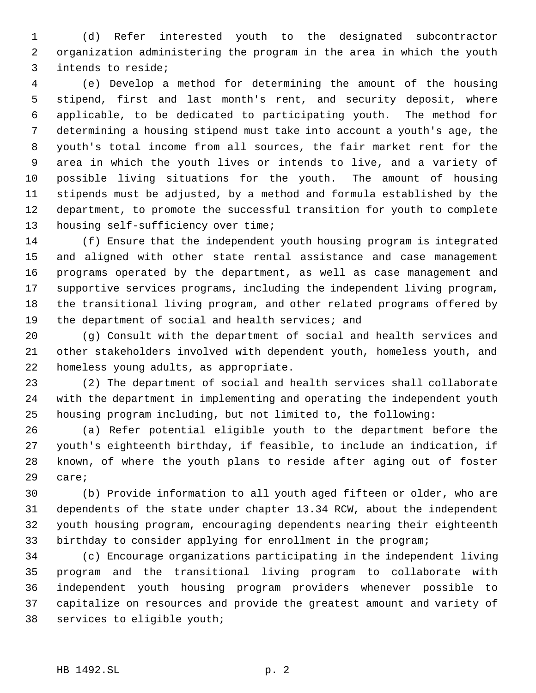(d) Refer interested youth to the designated subcontractor organization administering the program in the area in which the youth intends to reside;

 (e) Develop a method for determining the amount of the housing stipend, first and last month's rent, and security deposit, where applicable, to be dedicated to participating youth. The method for determining a housing stipend must take into account a youth's age, the youth's total income from all sources, the fair market rent for the area in which the youth lives or intends to live, and a variety of possible living situations for the youth. The amount of housing stipends must be adjusted, by a method and formula established by the department, to promote the successful transition for youth to complete 13 housing self-sufficiency over time;

 (f) Ensure that the independent youth housing program is integrated and aligned with other state rental assistance and case management programs operated by the department, as well as case management and supportive services programs, including the independent living program, the transitional living program, and other related programs offered by the department of social and health services; and

 (g) Consult with the department of social and health services and other stakeholders involved with dependent youth, homeless youth, and homeless young adults, as appropriate.

 (2) The department of social and health services shall collaborate with the department in implementing and operating the independent youth housing program including, but not limited to, the following:

 (a) Refer potential eligible youth to the department before the youth's eighteenth birthday, if feasible, to include an indication, if known, of where the youth plans to reside after aging out of foster care;

 (b) Provide information to all youth aged fifteen or older, who are dependents of the state under chapter 13.34 RCW, about the independent youth housing program, encouraging dependents nearing their eighteenth birthday to consider applying for enrollment in the program;

 (c) Encourage organizations participating in the independent living program and the transitional living program to collaborate with independent youth housing program providers whenever possible to capitalize on resources and provide the greatest amount and variety of services to eligible youth;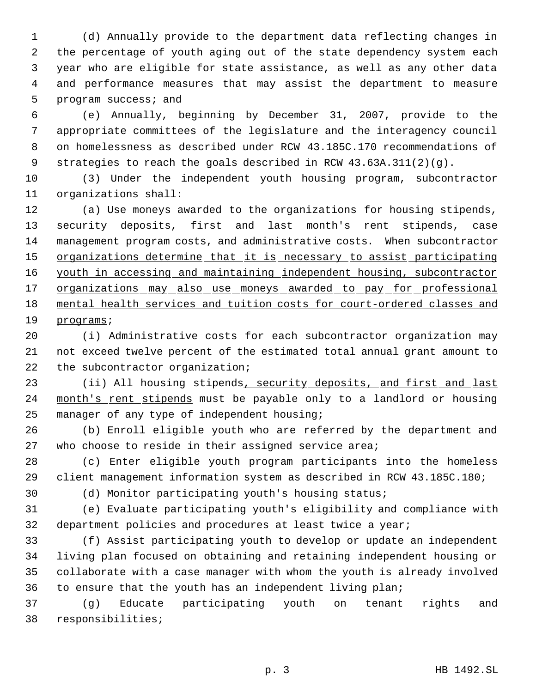(d) Annually provide to the department data reflecting changes in the percentage of youth aging out of the state dependency system each year who are eligible for state assistance, as well as any other data and performance measures that may assist the department to measure program success; and

 (e) Annually, beginning by December 31, 2007, provide to the appropriate committees of the legislature and the interagency council on homelessness as described under RCW 43.185C.170 recommendations of strategies to reach the goals described in RCW 43.63A.311(2)(g).

 (3) Under the independent youth housing program, subcontractor organizations shall:

 (a) Use moneys awarded to the organizations for housing stipends, security deposits, first and last month's rent stipends, case 14 management program costs, and administrative costs. When subcontractor 15 organizations determine that it is necessary to assist participating youth in accessing and maintaining independent housing, subcontractor 17 organizations may also use moneys awarded to pay for professional mental health services and tuition costs for court-ordered classes and programs;

 (i) Administrative costs for each subcontractor organization may not exceed twelve percent of the estimated total annual grant amount to the subcontractor organization;

23 (ii) All housing stipends, security deposits, and first and last 24 month's rent stipends must be payable only to a landlord or housing manager of any type of independent housing;

 (b) Enroll eligible youth who are referred by the department and 27 who choose to reside in their assigned service area;

 (c) Enter eligible youth program participants into the homeless client management information system as described in RCW 43.185C.180;

(d) Monitor participating youth's housing status;

 (e) Evaluate participating youth's eligibility and compliance with department policies and procedures at least twice a year;

 (f) Assist participating youth to develop or update an independent living plan focused on obtaining and retaining independent housing or collaborate with a case manager with whom the youth is already involved to ensure that the youth has an independent living plan;

 (g) Educate participating youth on tenant rights and responsibilities;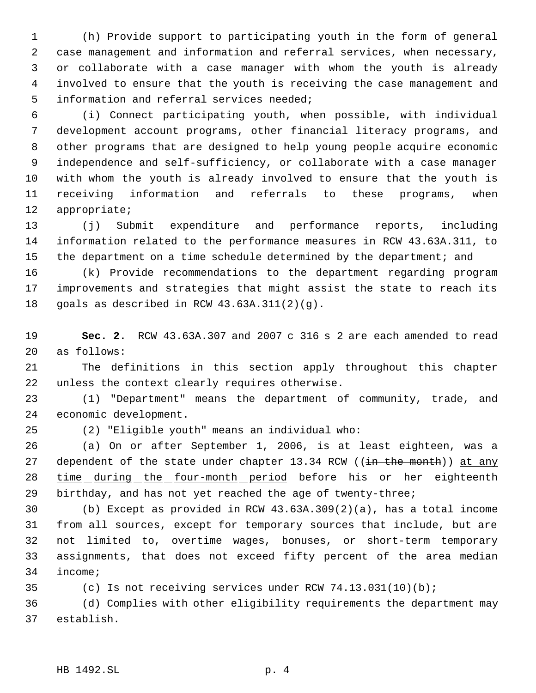(h) Provide support to participating youth in the form of general case management and information and referral services, when necessary, or collaborate with a case manager with whom the youth is already involved to ensure that the youth is receiving the case management and information and referral services needed;

 (i) Connect participating youth, when possible, with individual development account programs, other financial literacy programs, and other programs that are designed to help young people acquire economic independence and self-sufficiency, or collaborate with a case manager with whom the youth is already involved to ensure that the youth is receiving information and referrals to these programs, when appropriate;

 (j) Submit expenditure and performance reports, including information related to the performance measures in RCW 43.63A.311, to 15 the department on a time schedule determined by the department; and

 (k) Provide recommendations to the department regarding program improvements and strategies that might assist the state to reach its goals as described in RCW 43.63A.311(2)(g).

 **Sec. 2.** RCW 43.63A.307 and 2007 c 316 s 2 are each amended to read as follows:

 The definitions in this section apply throughout this chapter unless the context clearly requires otherwise.

 (1) "Department" means the department of community, trade, and economic development.

(2) "Eligible youth" means an individual who:

 (a) On or after September 1, 2006, is at least eighteen, was a 27 dependent of the state under chapter 13.34 RCW ((in the month)) at any time during the four-month period before his or her eighteenth birthday, and has not yet reached the age of twenty-three;

 (b) Except as provided in RCW 43.63A.309(2)(a), has a total income from all sources, except for temporary sources that include, but are not limited to, overtime wages, bonuses, or short-term temporary assignments, that does not exceed fifty percent of the area median income;

(c) Is not receiving services under RCW 74.13.031(10)(b);

 (d) Complies with other eligibility requirements the department may establish.